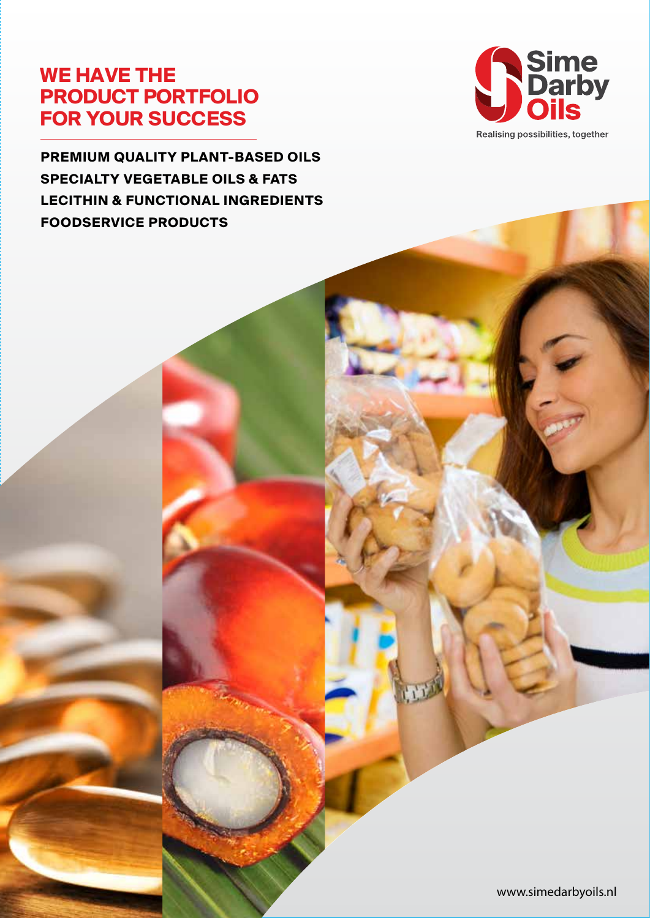## **WE HAVE THE PRODUCT PORTFOLIO FOR YOUR SUCCESS**

**PREMIUM QUALITY PLANT-BASED OILS SPECIALTY VEGETABLE OILS & FATS LECITHIN & FUNCTIONAL INGREDIENTS FOODSERVICE PRODUCTS**



Realising possibilities, together

www.simedarbyoils.nl